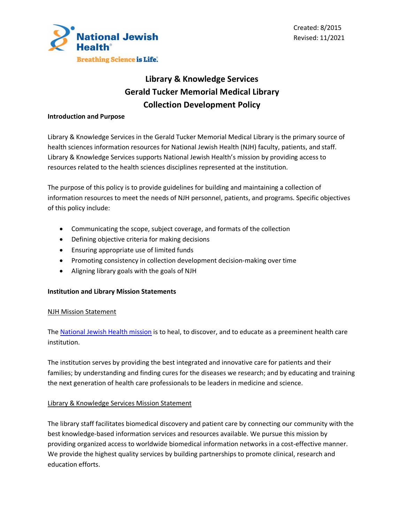



# **Library & Knowledge Services Gerald Tucker Memorial Medical Library Collection Development Policy**

#### **Introduction and Purpose**

Library & Knowledge Services in the Gerald Tucker Memorial Medical Library is the primary source of health sciences information resources for National Jewish Health (NJH) faculty, patients, and staff. Library & Knowledge Services supports National Jewish Health's mission by providing access to resources related to the health sciences disciplines represented at the institution.

The purpose of this policy is to provide guidelines for building and maintaining a collection of information resources to meet the needs of NJH personnel, patients, and programs. Specific objectives of this policy include:

- Communicating the scope, subject coverage, and formats of the collection
- Defining objective criteria for making decisions
- Ensuring appropriate use of limited funds
- Promoting consistency in collection development decision-making over time
- Aligning library goals with the goals of NJH

## **Institution and Library Mission Statements**

#### NJH Mission Statement

The National Jewish Health mission is to heal, to discover, and to educate as a preeminent health care institution.

The institution serves by providing the best integrated and innovative care for patients and their families; by understanding and finding cures for the diseases we research; and by educating and training the next generation of health care professionals to be leaders in medicine and science.

## Library & Knowledge Services Mission Statement

The library staff facilitates biomedical discovery and patient care by connecting our community with the best knowledge-based information services and resources available. We pursue this mission by providing organized access to worldwide biomedical information networks in a cost-effective manner. We provide the highest quality services by building partnerships to promote clinical, research and education efforts.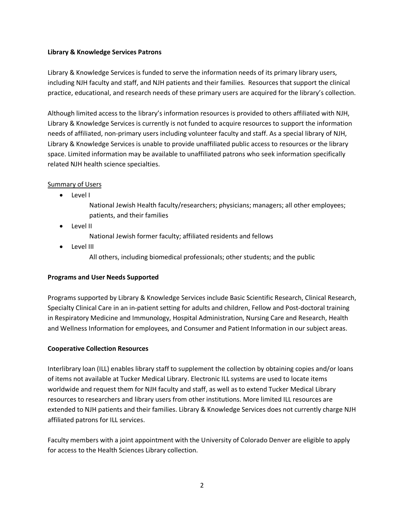## **Library & Knowledge Services Patrons**

Library & Knowledge Services is funded to serve the information needs of its primary library users, including NJH faculty and staff, and NJH patients and their families. Resources that support the clinical practice, educational, and research needs of these primary users are acquired for the library's collection.

Although limited access to the library's information resources is provided to others affiliated with NJH, Library & Knowledge Services is currently is not funded to acquire resources to support the information needs of affiliated, non-primary users including volunteer faculty and staff. As a special library of NJH, Library & Knowledge Services is unable to provide unaffiliated public access to resources or the library space. Limited information may be available to unaffiliated patrons who seek information specifically related NJH health science specialties.

## Summary of Users

- Level I
	- National Jewish Health faculty/researchers; physicians; managers; all other employees; patients, and their families
- Level II
	- National Jewish former faculty; affiliated residents and fellows
- Level III
	- All others, including biomedical professionals; other students; and the public

## **Programs and User Needs Supported**

Programs supported by Library & Knowledge Services include Basic Scientific Research, Clinical Research, Specialty Clinical Care in an in-patient setting for adults and children, Fellow and Post-doctoral training in Respiratory Medicine and Immunology, Hospital Administration, Nursing Care and Research, Health and Wellness Information for employees, and Consumer and Patient Information in our subject areas.

## **Cooperative Collection Resources**

Interlibrary loan (ILL) enables library staff to supplement the collection by obtaining copies and/or loans of items not available at Tucker Medical Library. Electronic ILL systems are used to locate items worldwide and request them for NJH faculty and staff, as well as to extend Tucker Medical Library resources to researchers and library users from other institutions. More limited ILL resources are extended to NJH patients and their families. Library & Knowledge Services does not currently charge NJH affiliated patrons for ILL services.

Faculty members with a joint appointment with the University of Colorado Denver are eligible to apply for access to the Health Sciences Library collection.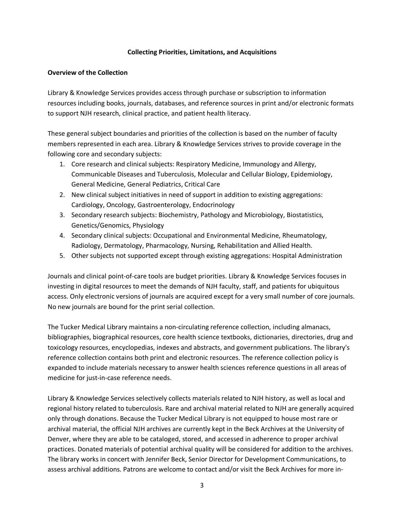#### **Collecting Priorities, Limitations, and Acquisitions**

#### **Overview of the Collection**

Library & Knowledge Services provides access through purchase or subscription to information resources including books, journals, databases, and reference sources in print and/or electronic formats to support NJH research, clinical practice, and patient health literacy.

These general subject boundaries and priorities of the collection is based on the number of faculty members represented in each area. Library & Knowledge Services strives to provide coverage in the following core and secondary subjects:

- 1. Core research and clinical subjects: Respiratory Medicine, Immunology and Allergy, Communicable Diseases and Tuberculosis, Molecular and Cellular Biology, Epidemiology, General Medicine, General Pediatrics, Critical Care
- 2. New clinical subject initiatives in need of support in addition to existing aggregations: Cardiology, Oncology, Gastroenterology, Endocrinology
- 3. Secondary research subjects: Biochemistry, Pathology and Microbiology, Biostatistics, Genetics/Genomics, Physiology
- 4. Secondary clinical subjects: Occupational and Environmental Medicine, Rheumatology, Radiology, Dermatology, Pharmacology, Nursing, Rehabilitation and Allied Health.
- 5. Other subjects not supported except through existing aggregations: Hospital Administration

Journals and clinical point-of-care tools are budget priorities. Library & Knowledge Services focuses in investing in digital resources to meet the demands of NJH faculty, staff, and patients for ubiquitous access. Only electronic versions of journals are acquired except for a very small number of core journals. No new journals are bound for the print serial collection.

The Tucker Medical Library maintains a non-circulating reference collection, including almanacs, bibliographies, biographical resources, core health science textbooks, dictionaries, directories, drug and toxicology resources, encyclopedias, indexes and abstracts, and government publications. The library's reference collection contains both print and electronic resources. The reference collection policy is expanded to include materials necessary to answer health sciences reference questions in all areas of medicine for just-in-case reference needs.

Library & Knowledge Services selectively collects materials related to NJH history, as well as local and regional history related to tuberculosis. Rare and archival material related to NJH are generally acquired only through donations. Because the Tucker Medical Library is not equipped to house most rare or archival material, the official NJH archives are currently kept in the Beck Archives at the University of Denver, where they are able to be cataloged, stored, and accessed in adherence to proper archival practices. Donated materials of potential archival quality will be considered for addition to the archives. The library works in concert with Jennifer Beck, Senior Director for Development Communications, to assess archival additions. Patrons are welcome to contact and/or visit the Beck Archives for more in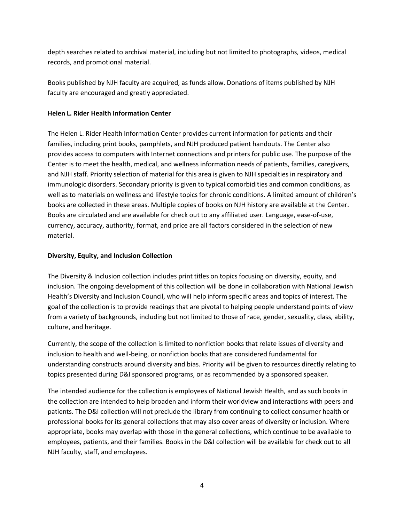depth searches related to archival material, including but not limited to photographs, videos, medical records, and promotional material.

Books published by NJH faculty are acquired, as funds allow. Donations of items published by NJH faculty are encouraged and greatly appreciated.

## **Helen L. Rider Health Information Center**

The Helen L. Rider Health Information Center provides current information for patients and their families, including print books, pamphlets, and NJH produced patient handouts. The Center also provides access to computers with Internet connections and printers for public use. The purpose of the Center is to meet the health, medical, and wellness information needs of patients, families, caregivers, and NJH staff. Priority selection of material for this area is given to NJH specialties in respiratory and immunologic disorders. Secondary priority is given to typical comorbidities and common conditions, as well as to materials on wellness and lifestyle topics for chronic conditions. A limited amount of children's books are collected in these areas. Multiple copies of books on NJH history are available at the Center. Books are circulated and are available for check out to any affiliated user. Language, ease-of-use, currency, accuracy, authority, format, and price are all factors considered in the selection of new material.

## **Diversity, Equity, and Inclusion Collection**

The Diversity & Inclusion collection includes print titles on topics focusing on diversity, equity, and inclusion. The ongoing development of this collection will be done in collaboration with National Jewish Health's Diversity and Inclusion Council, who will help inform specific areas and topics of interest. The goal of the collection is to provide readings that are pivotal to helping people understand points of view from a variety of backgrounds, including but not limited to those of race, gender, sexuality, class, ability, culture, and heritage.

Currently, the scope of the collection is limited to nonfiction books that relate issues of diversity and inclusion to health and well-being, or nonfiction books that are considered fundamental for understanding constructs around diversity and bias. Priority will be given to resources directly relating to topics presented during D&I sponsored programs, or as recommended by a sponsored speaker.

The intended audience for the collection is employees of National Jewish Health, and as such books in the collection are intended to help broaden and inform their worldview and interactions with peers and patients. The D&I collection will not preclude the library from continuing to collect consumer health or professional books for its general collections that may also cover areas of diversity or inclusion. Where appropriate, books may overlap with those in the general collections, which continue to be available to employees, patients, and their families. Books in the D&I collection will be available for check out to all NJH faculty, staff, and employees.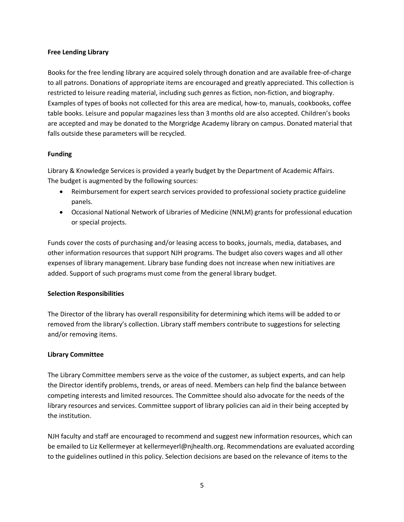## **Free Lending Library**

Books for the free lending library are acquired solely through donation and are available free-of-charge to all patrons. Donations of appropriate items are encouraged and greatly appreciated. This collection is restricted to leisure reading material, including such genres as fiction, non-fiction, and biography. Examples of types of books not collected for this area are medical, how-to, manuals, cookbooks, coffee table books. Leisure and popular magazines less than 3 months old are also accepted. Children's books are accepted and may be donated to the Morgridge Academy library on campus. Donated material that falls outside these parameters will be recycled.

## **Funding**

Library & Knowledge Services is provided a yearly budget by the Department of Academic Affairs. The budget is augmented by the following sources:

- Reimbursement for expert search services provided to professional society practice guideline panels.
- Occasional National Network of Libraries of Medicine (NNLM) grants for professional education or special projects.

Funds cover the costs of purchasing and/or leasing access to books, journals, media, databases, and other information resources that support NJH programs. The budget also covers wages and all other expenses of library management. Library base funding does not increase when new initiatives are added. Support of such programs must come from the general library budget.

# **Selection Responsibilities**

The Director of the library has overall responsibility for determining which items will be added to or removed from the library's collection. Library staff members contribute to suggestions for selecting and/or removing items.

## **Library Committee**

The Library Committee members serve as the voice of the customer, as subject experts, and can help the Director identify problems, trends, or areas of need. Members can help find the balance between competing interests and limited resources. The Committee should also advocate for the needs of the library resources and services. Committee support of library policies can aid in their being accepted by the institution.

NJH faculty and staff are encouraged to recommend and suggest new information resources, which can be emailed to Liz Kellermeyer at kellermeyerl@njhealth.org. Recommendations are evaluated according to the guidelines outlined in this policy. Selection decisions are based on the relevance of items to the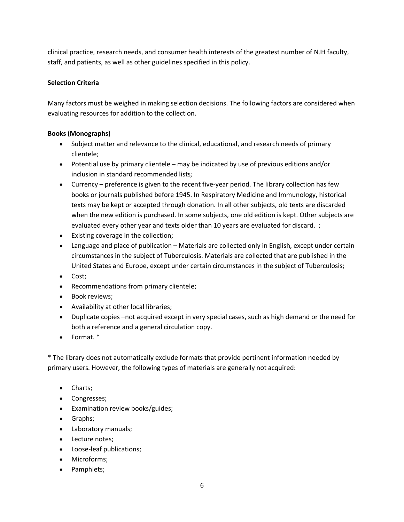clinical practice, research needs, and consumer health interests of the greatest number of NJH faculty, staff, and patients, as well as other guidelines specified in this policy.

# **Selection Criteria**

Many factors must be weighed in making selection decisions. The following factors are considered when evaluating resources for addition to the collection.

# **Books (Monographs)**

- Subject matter and relevance to the clinical, educational, and research needs of primary clientele;
- Potential use by primary clientele may be indicated by use of previous editions and/or inclusion in standard recommended lists*;*
- Currency preference is given to the recent five-year period. The library collection has few books or journals published before 1945. In Respiratory Medicine and Immunology, historical texts may be kept or accepted through donation. In all other subjects, old texts are discarded when the new edition is purchased. In some subjects, one old edition is kept. Other subjects are evaluated every other year and texts older than 10 years are evaluated for discard. ;
- Existing coverage in the collection;
- Language and place of publication Materials are collected only in English, except under certain circumstances in the subject of Tuberculosis. Materials are collected that are published in the United States and Europe, except under certain circumstances in the subject of Tuberculosis;
- Cost;
- Recommendations from primary clientele;
- Book reviews;
- Availability at other local libraries;
- Duplicate copies –not acquired except in very special cases, such as high demand or the need for both a reference and a general circulation copy.
- Format. \*

\* The library does not automatically exclude formats that provide pertinent information needed by primary users. However, the following types of materials are generally not acquired:

- Charts;
- Congresses;
- Examination review books/guides;
- Graphs;
- Laboratory manuals;
- Lecture notes;
- Loose-leaf publications;
- Microforms;
- Pamphlets;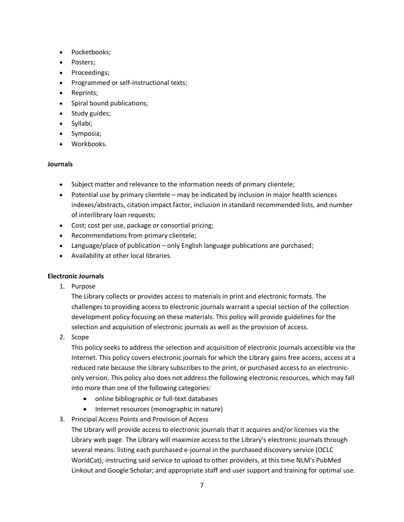- Pocketbooks;
- Posters;
- Proceedings;
- Programmed or self-instructional texts;
- Reprints;
- Spiral bound publications;
- Study guides;
- Syllabi;
- Symposia;
- Workbooks.

#### **Journals**

- Subject matter and relevance to the information needs of primary clientele;
- Potential use by primary clientele may be indicated by inclusion in major health sciences indexes/abstracts, citation impact factor, inclusion in standard recommended lists, and number of interlibrary loan requests;
- Cost; cost per use, package or consortial pricing;
- Recommendations from primary clientele;
- Language/place of publication only English language publications are purchased;
- Availability at other local libraries.

## **Electronic Journals**

1. Purpose

The Library collects or provides access to materials in print and electronic formats. The challenges to providing access to electronic journals warrant a special section of the collection development policy focusing on these materials. This policy will provide guidelines for the selection and acquisition of electronic journals as well as the provision of access.

2. Scope

This policy seeks to address the selection and acquisition of electronic journals accessible via the Internet. This policy covers electronic journals for which the Library gains free access, access at a reduced rate because the Library subscribes to the print, or purchased access to an electroniconly version. This policy also does not address the following electronic resources, which may fall into more than one of the following categories:

- online bibliographic or full-text databases
- Internet resources (monographic in nature)
- 3. Principal Access Points and Provision of Access

The Library will provide access to electronic journals that it acquires and/or licenses via the Library web page. The Library will maximize access to the Library's electronic journals through several means: listing each purchased e-journal in the purchased discovery service (OCLC WorldCat); instructing said service to upload to other providers, at this time NLM's PubMed Linkout and Google Scholar; and appropriate staff and user support and training for optimal use.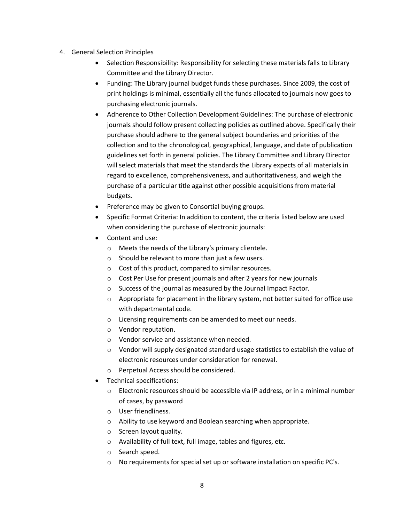- 4. General Selection Principles
	- Selection Responsibility: Responsibility for selecting these materials falls to Library Committee and the Library Director.
	- Funding: The Library journal budget funds these purchases. Since 2009, the cost of print holdings is minimal, essentially all the funds allocated to journals now goes to purchasing electronic journals.
	- Adherence to Other Collection Development Guidelines: The purchase of electronic journals should follow present collecting policies as outlined above. Specifically their purchase should adhere to the general subject boundaries and priorities of the collection and to the chronological, geographical, language, and date of publication guidelines set forth in general policies. The Library Committee and Library Director will select materials that meet the standards the Library expects of all materials in regard to excellence, comprehensiveness, and authoritativeness, and weigh the purchase of a particular title against other possible acquisitions from material budgets.
	- Preference may be given to Consortial buying groups.
	- Specific Format Criteria: In addition to content, the criteria listed below are used when considering the purchase of electronic journals:
	- Content and use:
		- o Meets the needs of the Library's primary clientele.
		- o Should be relevant to more than just a few users.
		- o Cost of this product, compared to similar resources.
		- o Cost Per Use for present journals and after 2 years for new journals
		- o Success of the journal as measured by the Journal Impact Factor.
		- o Appropriate for placement in the library system, not better suited for office use with departmental code.
		- o Licensing requirements can be amended to meet our needs.
		- o Vendor reputation.
		- o Vendor service and assistance when needed.
		- $\circ$  Vendor will supply designated standard usage statistics to establish the value of electronic resources under consideration for renewal.
		- o Perpetual Access should be considered.
	- Technical specifications:
		- $\circ$  Electronic resources should be accessible via IP address, or in a minimal number of cases, by password
		- o User friendliness.
		- o Ability to use keyword and Boolean searching when appropriate.
		- o Screen layout quality.
		- o Availability of full text, full image, tables and figures, etc.
		- o Search speed.
		- $\circ$  No requirements for special set up or software installation on specific PC's.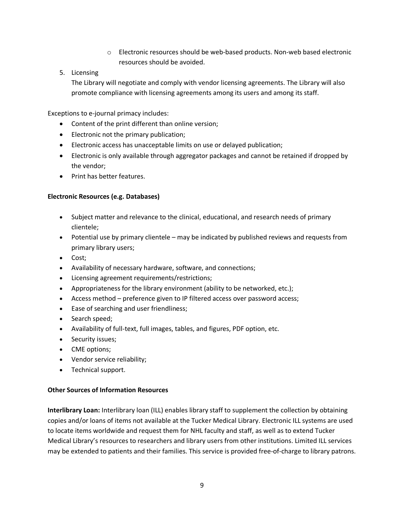- o Electronic resources should be web-based products. Non-web based electronic resources should be avoided.
- 5. Licensing

The Library will negotiate and comply with vendor licensing agreements. The Library will also promote compliance with licensing agreements among its users and among its staff.

Exceptions to e-journal primacy includes:

- Content of the print different than online version;
- Electronic not the primary publication;
- Electronic access has unacceptable limits on use or delayed publication;
- Electronic is only available through aggregator packages and cannot be retained if dropped by the vendor;
- Print has better features.

# **Electronic Resources (e.g. Databases)**

- Subject matter and relevance to the clinical, educational, and research needs of primary clientele;
- Potential use by primary clientele may be indicated by published reviews and requests from primary library users;
- Cost;
- Availability of necessary hardware, software, and connections;
- Licensing agreement requirements/restrictions;
- Appropriateness for the library environment (ability to be networked, etc.);
- Access method preference given to IP filtered access over password access;
- Ease of searching and user friendliness;
- Search speed;
- Availability of full-text, full images, tables, and figures, PDF option, etc.
- Security issues;
- CME options;
- Vendor service reliability;
- Technical support.

# **Other Sources of Information Resources**

**Interlibrary Loan:** Interlibrary loan (ILL) enables library staff to supplement the collection by obtaining copies and/or loans of items not available at the Tucker Medical Library. Electronic ILL systems are used to locate items worldwide and request them for NHL faculty and staff, as well as to extend Tucker Medical Library's resources to researchers and library users from other institutions. Limited ILL services may be extended to patients and their families. This service is provided free-of-charge to library patrons.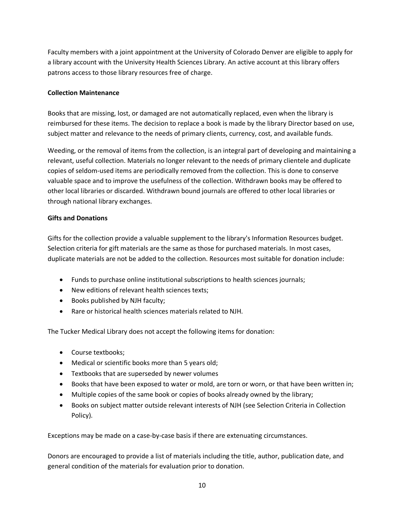Faculty members with a joint appointment at the University of Colorado Denver are eligible to apply for a library account with the University Health Sciences Library. An active account at this library offers patrons access to those library resources free of charge.

## **Collection Maintenance**

Books that are missing, lost, or damaged are not automatically replaced, even when the library is reimbursed for these items. The decision to replace a book is made by the library Director based on use, subject matter and relevance to the needs of primary clients, currency, cost, and available funds.

Weeding, or the removal of items from the collection, is an integral part of developing and maintaining a relevant, useful collection. Materials no longer relevant to the needs of primary clientele and duplicate copies of seldom-used items are periodically removed from the collection. This is done to conserve valuable space and to improve the usefulness of the collection. Withdrawn books may be offered to other local libraries or discarded. Withdrawn bound journals are offered to other local libraries or through national library exchanges.

## **Gifts and Donations**

Gifts for the collection provide a valuable supplement to the library's Information Resources budget. Selection criteria for gift materials are the same as those for purchased materials. In most cases, duplicate materials are not be added to the collection. Resources most suitable for donation include:

- Funds to purchase online institutional subscriptions to health sciences journals;
- New editions of relevant health sciences texts;
- Books published by NJH faculty;
- Rare or historical health sciences materials related to NJH.

The Tucker Medical Library does not accept the following items for donation:

- Course textbooks;
- Medical or scientific books more than 5 years old;
- Textbooks that are superseded by newer volumes
- Books that have been exposed to water or mold, are torn or worn, or that have been written in;
- Multiple copies of the same book or copies of books already owned by the library;
- Books on subject matter outside relevant interests of NJH (see Selection Criteria in Collection Policy).

Exceptions may be made on a case-by-case basis if there are extenuating circumstances.

Donors are encouraged to provide a list of materials including the title, author, publication date, and general condition of the materials for evaluation prior to donation.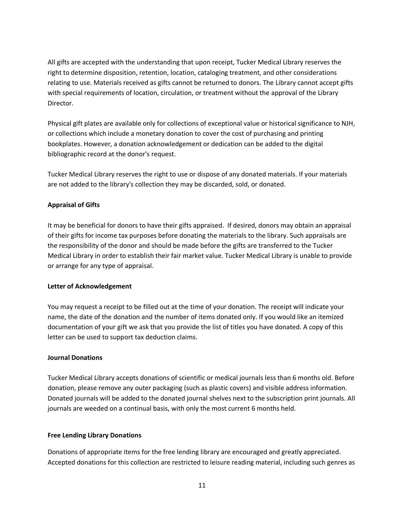All gifts are accepted with the understanding that upon receipt, Tucker Medical Library reserves the right to determine disposition, retention, location, cataloging treatment, and other considerations relating to use. Materials received as gifts cannot be returned to donors. The Library cannot accept gifts with special requirements of location, circulation, or treatment without the approval of the Library Director.

Physical gift plates are available only for collections of exceptional value or historical significance to NJH, or collections which include a monetary donation to cover the cost of purchasing and printing bookplates. However, a donation acknowledgement or dedication can be added to the digital bibliographic record at the donor's request.

Tucker Medical Library reserves the right to use or dispose of any donated materials. If your materials are not added to the library's collection they may be discarded, sold, or donated.

# **Appraisal of Gifts**

It may be beneficial for donors to have their gifts appraised. If desired, donors may obtain an appraisal of their gifts for income tax purposes before donating the materials to the library. Such appraisals are the responsibility of the donor and should be made before the gifts are transferred to the Tucker Medical Library in order to establish their fair market value. Tucker Medical Library is unable to provide or arrange for any type of appraisal.

## **Letter of Acknowledgement**

You may request a receipt to be filled out at the time of your donation. The receipt will indicate your name, the date of the donation and the number of items donated only. If you would like an itemized documentation of your gift we ask that you provide the list of titles you have donated. A copy of this letter can be used to support tax deduction claims.

## **Journal Donations**

Tucker Medical Library accepts donations of scientific or medical journals less than 6 months old. Before donation, please remove any outer packaging (such as plastic covers) and visible address information. Donated journals will be added to the donated journal shelves next to the subscription print journals. All journals are weeded on a continual basis, with only the most current 6 months held.

## **Free Lending Library Donations**

Donations of appropriate items for the free lending library are encouraged and greatly appreciated. Accepted donations for this collection are restricted to leisure reading material, including such genres as